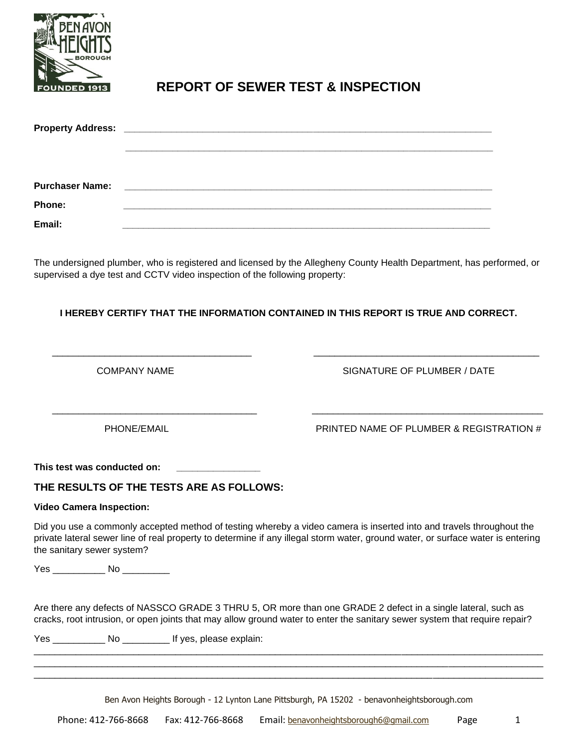

## **REPORT OF SEWER TEST & INSPECTION**

| <b>Purchaser Name:</b> |  |  |  |
|------------------------|--|--|--|
| Phone:                 |  |  |  |
| Email:                 |  |  |  |

The undersigned plumber, who is registered and licensed by the Allegheny County Health Department, has performed, or supervised a dye test and CCTV video inspection of the following property:

**I HEREBY CERTIFY THAT THE INFORMATION CONTAINED IN THIS REPORT IS TRUE AND CORRECT.**

 $\overline{\phantom{a}}$  , and the contribution of the contribution of the contribution of the contribution of the contribution of the contribution of the contribution of the contribution of the contribution of the contribution of the

 $\overline{\phantom{a}}$  ,  $\overline{\phantom{a}}$  ,  $\overline{\phantom{a}}$  ,  $\overline{\phantom{a}}$  ,  $\overline{\phantom{a}}$  ,  $\overline{\phantom{a}}$  ,  $\overline{\phantom{a}}$  ,  $\overline{\phantom{a}}$  ,  $\overline{\phantom{a}}$  ,  $\overline{\phantom{a}}$  ,  $\overline{\phantom{a}}$  ,  $\overline{\phantom{a}}$  ,  $\overline{\phantom{a}}$  ,  $\overline{\phantom{a}}$  ,  $\overline{\phantom{a}}$  ,  $\overline{\phantom{a}}$ 

COMPANY NAME SIGNATURE OF PLUMBER / DATE

PHONE/EMAIL PHONE PRINTED NAME OF PLUMBER & REGISTRATION #

**This test was conducted on: \_\_\_\_\_\_\_\_\_\_\_\_\_\_\_\_**

### **THE RESULTS OF THE TESTS ARE AS FOLLOWS:**

#### **Video Camera Inspection:**

Did you use a commonly accepted method of testing whereby a video camera is inserted into and travels throughout the private lateral sewer line of real property to determine if any illegal storm water, ground water, or surface water is entering the sanitary sewer system?

Yes \_\_\_\_\_\_\_\_\_\_\_\_\_ No \_\_\_\_\_\_\_\_\_\_\_

Are there any defects of NASSCO GRADE 3 THRU 5, OR more than one GRADE 2 defect in a single lateral, such as cracks, root intrusion, or open joints that may allow ground water to enter the sanitary sewer system that require repair?

Yes \_\_\_\_\_\_\_\_\_\_ No \_\_\_\_\_\_\_\_\_ If yes, please explain:

Ben Avon Heights Borough - 12 Lynton Lane Pittsburgh, PA 15202 - benavonheightsborough.com

\_\_\_\_\_\_\_\_\_\_\_\_\_\_\_\_\_\_\_\_\_\_\_\_\_\_\_\_\_\_\_\_\_\_\_\_\_\_\_\_\_\_\_\_\_\_\_\_\_\_\_\_\_\_\_\_\_\_\_\_\_\_\_\_\_\_\_\_\_\_\_\_\_\_\_\_\_\_\_\_\_\_\_\_\_\_\_\_\_\_\_\_\_\_\_\_\_ \_\_\_\_\_\_\_\_\_\_\_\_\_\_\_\_\_\_\_\_\_\_\_\_\_\_\_\_\_\_\_\_\_\_\_\_\_\_\_\_\_\_\_\_\_\_\_\_\_\_\_\_\_\_\_\_\_\_\_\_\_\_\_\_\_\_\_\_\_\_\_\_\_\_\_\_\_\_\_\_\_\_\_\_\_\_\_\_\_\_\_\_\_\_\_\_\_ \_\_\_\_\_\_\_\_\_\_\_\_\_\_\_\_\_\_\_\_\_\_\_\_\_\_\_\_\_\_\_\_\_\_\_\_\_\_\_\_\_\_\_\_\_\_\_\_\_\_\_\_\_\_\_\_\_\_\_\_\_\_\_\_\_\_\_\_\_\_\_\_\_\_\_\_\_\_\_\_\_\_\_\_\_\_\_\_\_\_\_\_\_\_\_\_\_